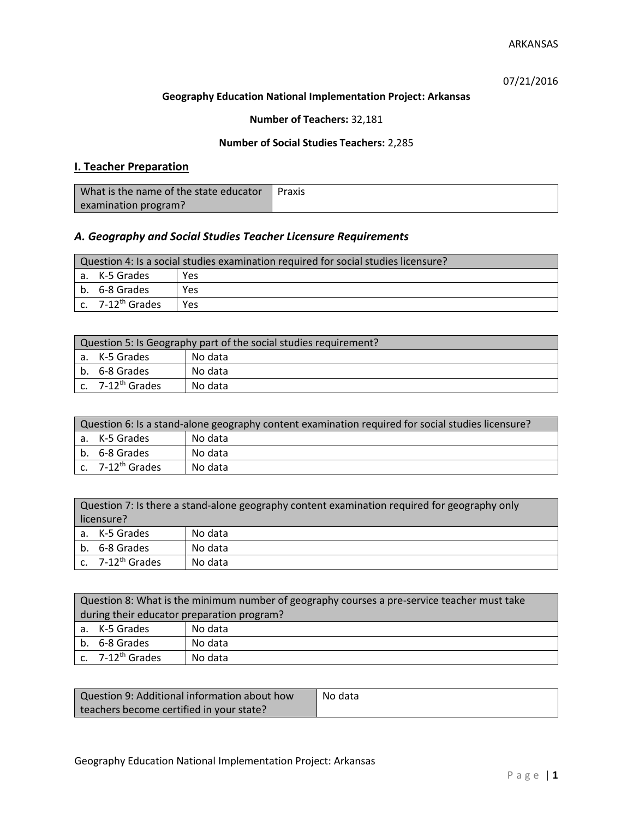07/21/2016

#### **Geography Education National Implementation Project: Arkansas**

## **Number of Teachers:** 32,181

### **Number of Social Studies Teachers:** 2,285

## **I. Teacher Preparation**

| What is the name of the state educator | Praxis |
|----------------------------------------|--------|
| examination program?                   |        |

## *A. Geography and Social Studies Teacher Licensure Requirements*

| Question 4: Is a social studies examination required for social studies licensure? |                       |     |
|------------------------------------------------------------------------------------|-----------------------|-----|
|                                                                                    | a. K-5 Grades         | Yes |
|                                                                                    | b. 6-8 Grades         | Yes |
|                                                                                    | c. $7-12^{th}$ Grades | Yes |

| Question 5: Is Geography part of the social studies requirement? |                                |         |
|------------------------------------------------------------------|--------------------------------|---------|
|                                                                  | a. K-5 Grades                  | No data |
|                                                                  | b. 6-8 Grades                  | No data |
|                                                                  | $c.$ 7-12 <sup>th</sup> Grades | No data |

| Question 6: Is a stand-alone geography content examination required for social studies licensure? |                              |         |  |
|---------------------------------------------------------------------------------------------------|------------------------------|---------|--|
|                                                                                                   | a. K-5 Grades                | No data |  |
|                                                                                                   | b. 6-8 Grades                | No data |  |
|                                                                                                   | c. 7-12 <sup>th</sup> Grades | No data |  |

|            | Question 7: Is there a stand-alone geography content examination required for geography only |         |  |
|------------|----------------------------------------------------------------------------------------------|---------|--|
| licensure? |                                                                                              |         |  |
|            | a. K-5 Grades                                                                                | No data |  |
|            | b. 6-8 Grades                                                                                | No data |  |
|            | c. 7-12 <sup>th</sup> Grades                                                                 | No data |  |

|                                            | Question 8: What is the minimum number of geography courses a pre-service teacher must take |         |  |
|--------------------------------------------|---------------------------------------------------------------------------------------------|---------|--|
| during their educator preparation program? |                                                                                             |         |  |
|                                            | a. K-5 Grades                                                                               | No data |  |
|                                            | b. 6-8 Grades                                                                               | No data |  |
|                                            | c. $7-12^{th}$ Grades                                                                       | No data |  |

| Question 9: Additional information about how | No data |
|----------------------------------------------|---------|
| teachers become certified in your state?     |         |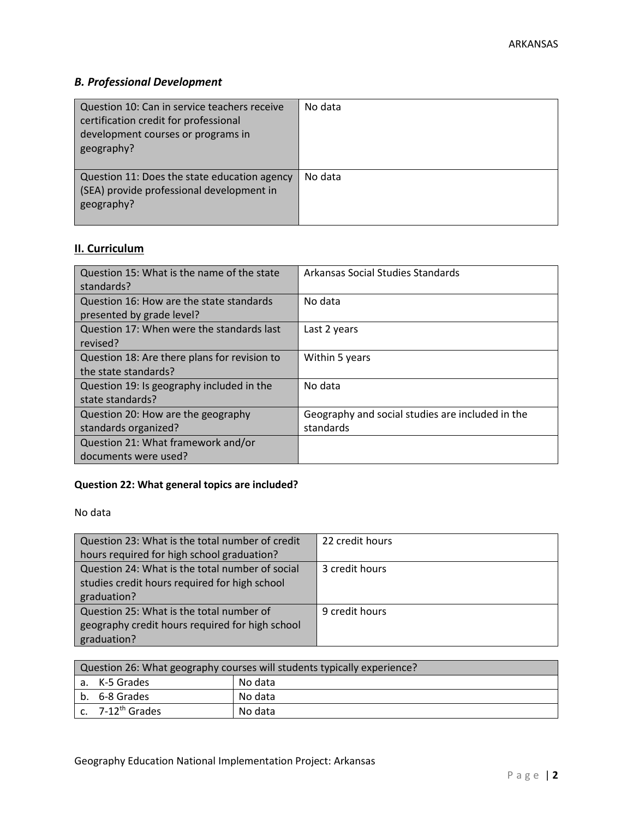# *B. Professional Development*

| Question 10: Can in service teachers receive<br>certification credit for professional<br>development courses or programs in<br>geography? | No data |
|-------------------------------------------------------------------------------------------------------------------------------------------|---------|
| Question 11: Does the state education agency<br>(SEA) provide professional development in<br>geography?                                   | No data |

# **II. Curriculum**

| Question 15: What is the name of the state<br>standards?              | Arkansas Social Studies Standards                             |
|-----------------------------------------------------------------------|---------------------------------------------------------------|
| Question 16: How are the state standards<br>presented by grade level? | No data                                                       |
| Question 17: When were the standards last<br>revised?                 | Last 2 years                                                  |
| Question 18: Are there plans for revision to<br>the state standards?  | Within 5 years                                                |
| Question 19: Is geography included in the<br>state standards?         | No data                                                       |
| Question 20: How are the geography<br>standards organized?            | Geography and social studies are included in the<br>standards |
| Question 21: What framework and/or<br>documents were used?            |                                                               |

# **Question 22: What general topics are included?**

No data

| Question 23: What is the total number of credit | 22 credit hours |
|-------------------------------------------------|-----------------|
| hours required for high school graduation?      |                 |
| Question 24: What is the total number of social | 3 credit hours  |
| studies credit hours required for high school   |                 |
| graduation?                                     |                 |
| Question 25: What is the total number of        | 9 credit hours  |
| geography credit hours required for high school |                 |
| graduation?                                     |                 |

| Question 26: What geography courses will students typically experience? |                       |         |
|-------------------------------------------------------------------------|-----------------------|---------|
|                                                                         | a. K-5 Grades         | No data |
|                                                                         | b. 6-8 Grades         | No data |
|                                                                         | c. $7-12^{th}$ Grades | No data |